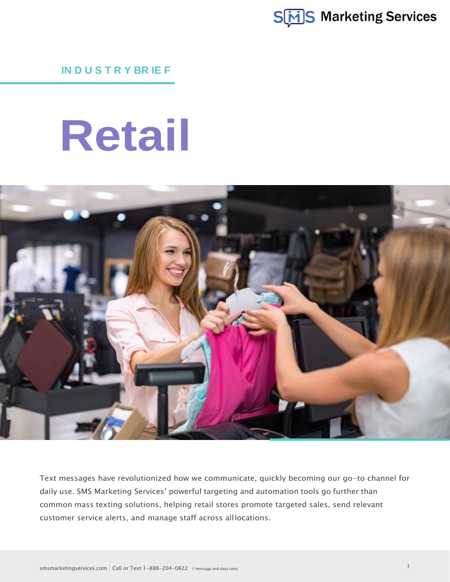

**IN D U S T R Y BR IE F**

# **Retail**



Text messages have revolutionized how we communicate, quickly becoming our go-to channel for daily use. SMS Marketing Services' powerful targeting and automation tools go further than common mass texting solutions, helping retail stores promote targeted sales, send relevant customer service alerts, and manage staff across alllocations.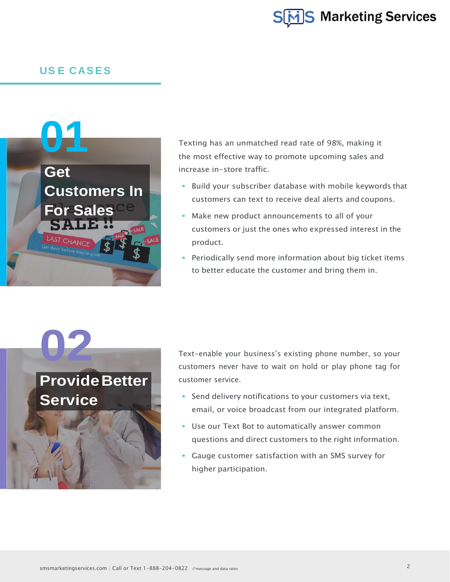

#### **US E CASES**



Texting has an unmatched read rate of 98%, making it the most effective way to promote upcoming sales and increase in-store traffic.

- **•** Build your subscriber database with mobile keywords that customers can text to receive deal alerts and coupons.
- **•** Make new product announcements to all of your customers or just the ones who expressed interest in the product.
- **•** Periodically send more information about big ticket items to better educate the customer and bring them in.

# **02 ProvideBetter**

**Service**

#### Text-enable your business's existing phone number, so your customers never have to wait on hold or play phone tag for customer service.

- **•** Send delivery notifications to your customers via text, email, or voice broadcast from our integrated platform.
- **•** Use our Text Bot to automatically answer common questions and direct customers to the right information.
- **•** Gauge customer satisfaction with an SMS survey for higher participation.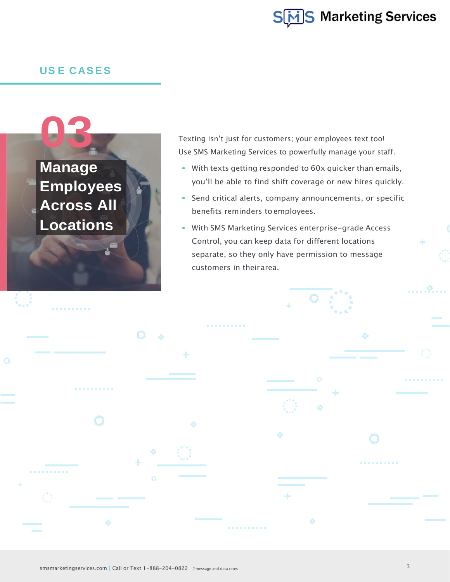

#### **US E CASES**



Texting isn't just for customers; your employees text too! Use SMS Marketing Services to powerfully manage your staff.

- **•** With texts getting responded to 60x quicker than emails, you'll be able to find shift coverage or new hires quickly.
- **•** Send critical alerts, company announcements, or specific benefits reminders toemployees.
- **•** With SMS Marketing Services enterprise-grade Access Control, you can keep data for different locations separate, so they only have permission to message customers in theirarea.

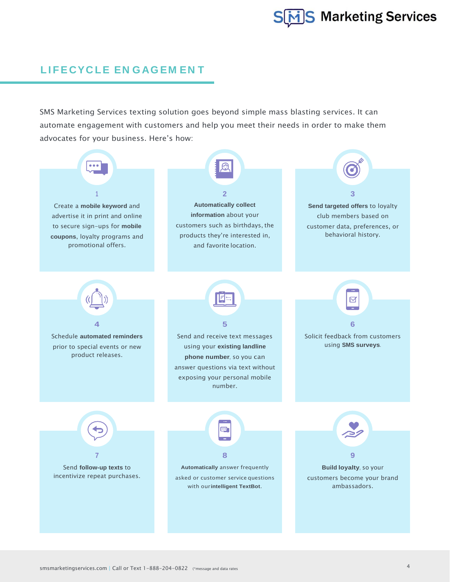### **LI FE CYC LE EN GAG EM EN T**

SMS Marketing Services texting solution goes beyond simple mass blasting services. It can automate engagement with customers and help you meet their needs in order to make them advocates for your business. Here's how: